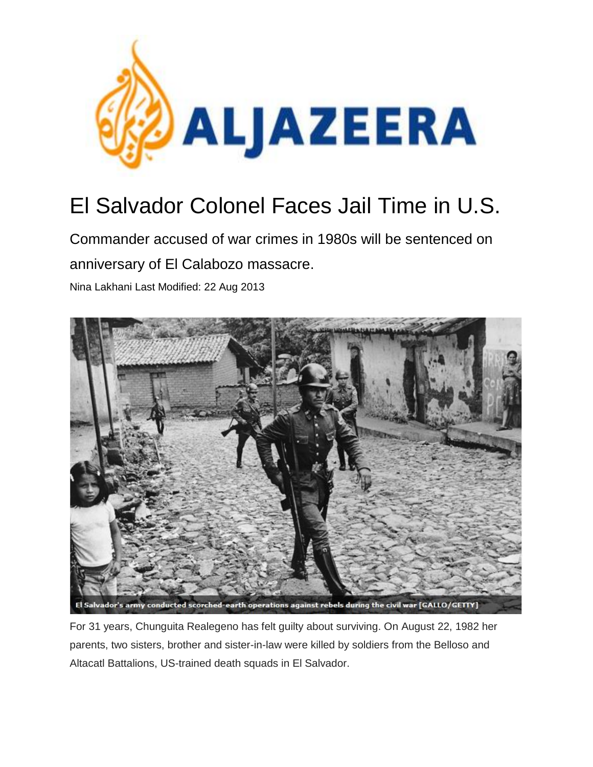

# El Salvador Colonel Faces Jail Time in U.S.

Commander accused of war crimes in 1980s will be sentenced on anniversary of El Calabozo massacre.

Nina Lakhani Last Modified: 22 Aug 2013



For 31 years, Chunguita Realegeno has felt guilty about surviving. On August 22, 1982 her parents, two sisters, brother and sister-in-law were killed by soldiers from the Belloso and Altacatl Battalions, US-trained death squads in El Salvador.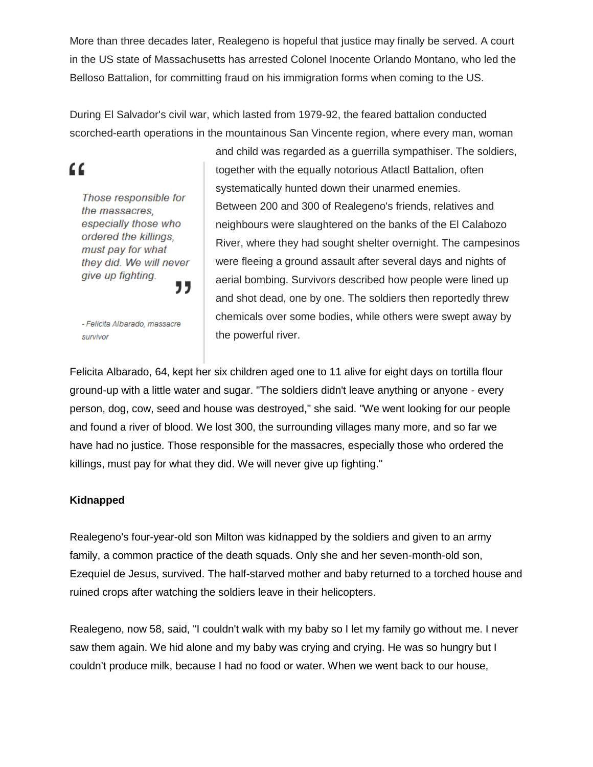More than three decades later, Realegeno is hopeful that justice may finally be served. A court in the US state of Massachusetts has arrested Colonel Inocente Orlando Montano, who led the Belloso Battalion, for committing fraud on his immigration forms when coming to the US.

During El Salvador's civil war, which lasted from 1979-92, the feared battalion conducted scorched-earth operations in the mountainous San Vincente region, where every man, woman

## "

Those responsible for the massacres. especially those who ordered the killings. must pay for what they did. We will never give up fighting. "

- Felicita Albarado, massacre survivor

and child was regarded as a guerrilla sympathiser. The soldiers, together with the equally notorious Atlactl Battalion, often systematically hunted down their unarmed enemies. Between 200 and 300 of Realegeno's friends, relatives and neighbours were slaughtered on the banks of the El Calabozo River, where they had sought shelter overnight. The campesinos were fleeing a ground assault after several days and nights of aerial bombing. Survivors described how people were lined up and shot dead, one by one. The soldiers then reportedly threw chemicals over some bodies, while others were swept away by the powerful river.

Felicita Albarado, 64, kept her six children aged one to 11 alive for eight days on tortilla flour ground-up with a little water and sugar. "The soldiers didn't leave anything or anyone - every person, dog, cow, seed and house was destroyed," she said. "We went looking for our people and found a river of blood. We lost 300, the surrounding villages many more, and so far we have had no justice. Those responsible for the massacres, especially those who ordered the killings, must pay for what they did. We will never give up fighting."

#### **Kidnapped**

Realegeno's four-year-old son Milton was kidnapped by the soldiers and given to an army family, a common practice of the death squads. Only she and her seven-month-old son, Ezequiel de Jesus, survived. The half-starved mother and baby returned to a torched house and ruined crops after watching the soldiers leave in their helicopters.

Realegeno, now 58, said, "I couldn't walk with my baby so I let my family go without me. I never saw them again. We hid alone and my baby was crying and crying. He was so hungry but I couldn't produce milk, because I had no food or water. When we went back to our house,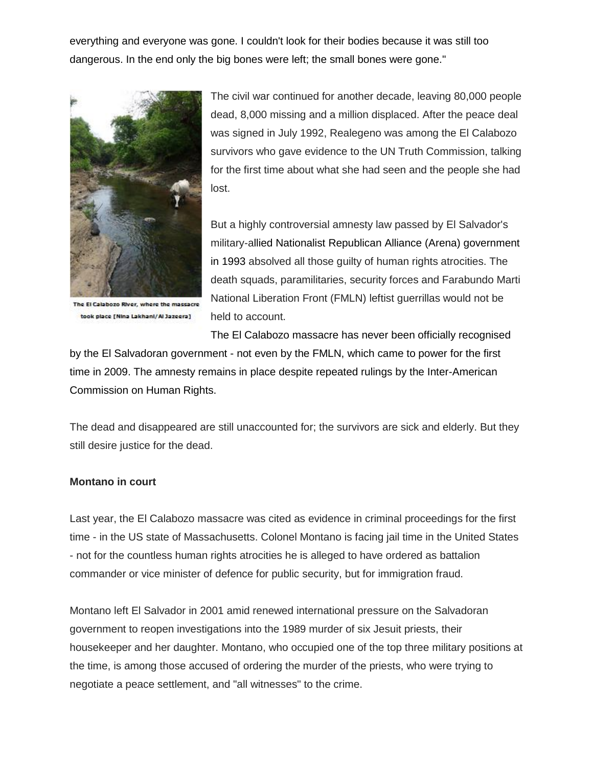everything and everyone was gone. I couldn't look for their bodies because it was still too dangerous. In the end only the big bones were left; the small bones were gone."



The El Calabozo River, where the massacre took place [Nina Lakhani/Al Jazeera]

The civil war continued for another decade, leaving 80,000 people dead, 8,000 missing and a million displaced. After the peace deal was signed in July 1992, Realegeno was among the El Calabozo survivors who gave evidence to the UN Truth Commission, talking for the first time about what she had seen and the people she had lost.

But a highly controversial amnesty law passed by El Salvador's military-allied Nationalist Republican Alliance (Arena) government in 1993 absolved all those guilty of human rights atrocities. The death squads, paramilitaries, security forces and Farabundo Marti National Liberation Front (FMLN) leftist guerrillas would not be held to account.

The El Calabozo massacre has never been officially recognised

by the El Salvadoran government - not even by the FMLN, which came to power for the first time in 2009. The amnesty remains in place despite repeated rulings by the Inter-American Commission on Human Rights.

The dead and disappeared are still unaccounted for; the survivors are sick and elderly. But they still desire justice for the dead.

#### **Montano in court**

Last year, the El Calabozo massacre was cited as evidence in criminal proceedings for the first time - in the US state of Massachusetts. Colonel Montano is facing jail time in the United States - not for the countless human rights atrocities he is alleged to have ordered as battalion commander or vice minister of defence for public security, but for immigration fraud.

Montano left El Salvador in 2001 amid renewed international pressure on the Salvadoran government to reopen investigations into the 1989 murder of six Jesuit priests, their housekeeper and her daughter. Montano, who occupied one of the top three military positions at the time, is among those accused of ordering the murder of the priests, who were trying to negotiate a peace settlement, and "all witnesses" to the crime.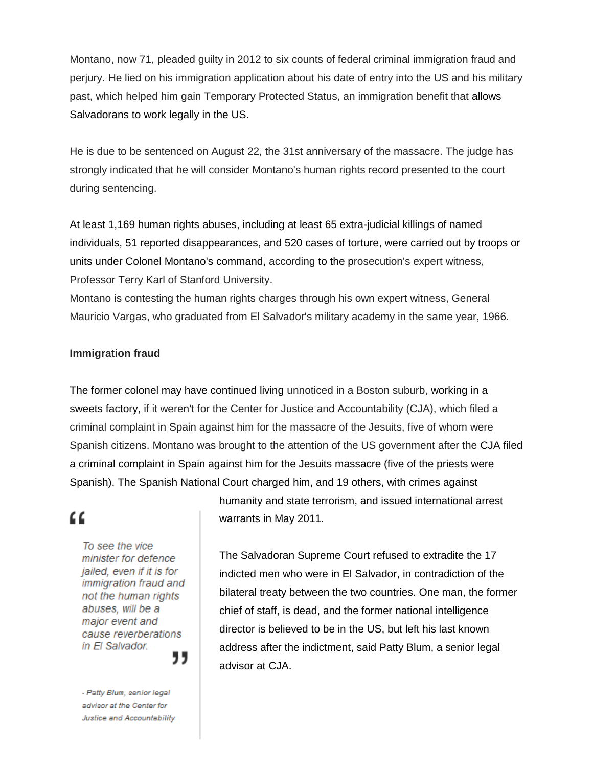Montano, now 71, pleaded guilty in 2012 to six counts of federal criminal immigration fraud and perjury. He lied on his immigration application about his date of entry into the US and his military past, which helped him gain Temporary Protected Status, an immigration benefit that allows Salvadorans to work legally in the US.

He is due to be sentenced on August 22, the 31st anniversary of the massacre. The judge has strongly indicated that he will consider Montano's human rights record presented to the court during sentencing.

At least 1,169 human rights abuses, including at least 65 extra-judicial killings of named individuals, 51 reported disappearances, and 520 cases of torture, were carried out by troops or units under Colonel Montano's command, [according t](http://www.cja.org/downloads/Montano.Expert%20report%20of%20Professor%20Terry%20Lynn%20Karl,%20Stanford%20University.pdf)o the prosecution's expert witness, Professor Terry Karl of Stanford University.

Montano is [contesting t](http://cja.org/downloads/Montano.pdf)he human rights charges through his own expert witness, General Mauricio Vargas, who graduated from El Salvador's military academy in the same year, 1966.

#### **Immigration fraud**

The former colonel may have continued living unnoticed in a Boston suburb, working in a sweets factory, if it weren't for the Center for Justice and Accountability (CJA), which [filed a](http://cja.org/article.php?list=type&type=84) criminal complaint in Spain against him for the massacre of the Jesuits, five of whom were Spanish citizens. Montano was brought to the attention of the US government after the CJA filed a criminal complaint in Spain against him for the Jesuits massacre (five of the priests were Spanish). The Spanish National Court charged him, and 19 others, with crimes against

### "

To see the vice minister for defence jailed, even if it is for immigration fraud and not the human rights abuses, will be a major event and cause reverberations in El Salvador. ,,

- Patty Blum, senior legal advisor at the Center for Justice and Accountability humanity and state terrorism, and issued international arrest warrants in May 2011.

The Salvadoran Supreme Court refused to extradite the 17 indicted men who were in El Salvador, in contradiction of the bilateral treaty between the two countries. One man, the former chief of staff, is dead, and the former national intelligence director is believed to be in the US, but left his last known address after the indictment, said Patty Blum, a senior legal advisor at CJA.